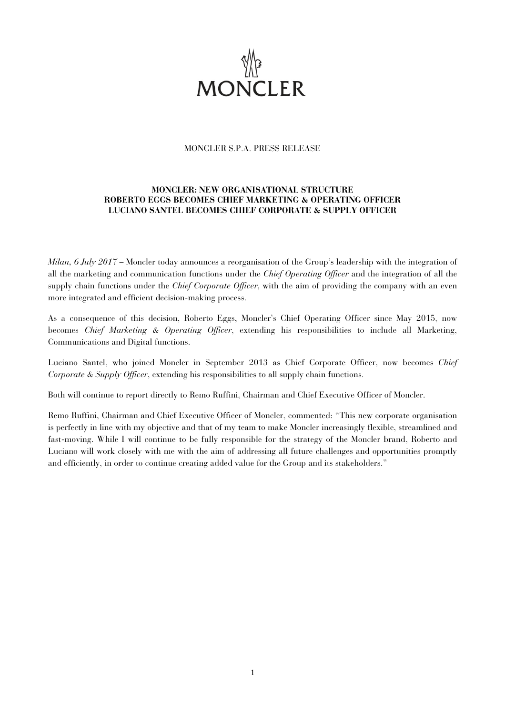

## MONCLER S.P.A. PRESS RELEASE

# **MONCLER: NEW ORGANISATIONAL STRUCTURE ROBERTO EGGS BECOMES CHIEF MARKETING & OPERATING OFFICER LUCIANO SANTEL BECOMES CHIEF CORPORATE & SUPPLY OFFICER**

*Milan, 6 July 2017* – Moncler today announces a reorganisation of the Group's leadership with the integration of all the marketing and communication functions under the *Chief Operating Officer* and the integration of all the supply chain functions under the *Chief Corporate Officer*, with the aim of providing the company with an even more integrated and efficient decision-making process.

As a consequence of this decision, Roberto Eggs, Moncler's Chief Operating Officer since May 2015, now becomes *Chief Marketing & Operating Officer*, extending his responsibilities to include all Marketing, Communications and Digital functions.

Luciano Santel, who joined Moncler in September 2013 as Chief Corporate Officer, now becomes *Chief Corporate & Supply Officer*, extending his responsibilities to all supply chain functions.

Both will continue to report directly to Remo Ruffini, Chairman and Chief Executive Officer of Moncler.

Remo Ruffini, Chairman and Chief Executive Officer of Moncler, commented: "This new corporate organisation is perfectly in line with my objective and that of my team to make Moncler increasingly flexible, streamlined and fast-moving. While I will continue to be fully responsible for the strategy of the Moncler brand, Roberto and Luciano will work closely with me with the aim of addressing all future challenges and opportunities promptly and efficiently, in order to continue creating added value for the Group and its stakeholders."